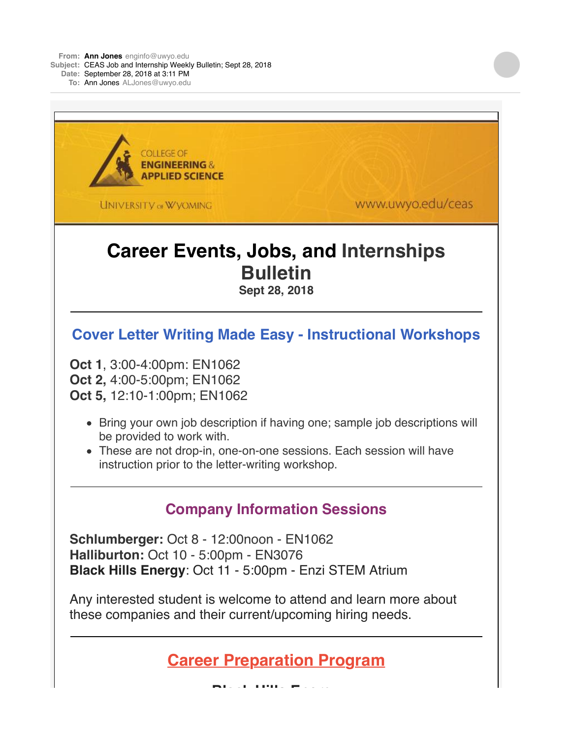**From: Ann [Jones](mailto:Jonesenginfo@uwyo.edu)** [enginfo@uwyo.edu](mailto:Jonesenginfo@uwyo.edu) **Subject:** CEAS Job and Internship Weekly Bulletin; Sept 28, 2018 **Date:** September 28, 2018 at 3:11 PM **To:** Ann [Jones](mailto:JonesALJones@uwyo.edu) [ALJones@uwyo.edu](mailto:JonesALJones@uwyo.edu)

**COLLEGE OF ENGINEERING & APPLIED SCIENCE** www.uwyo.edu/ceas **UNIVERSITY OF WYOMING Career Events, Jobs, and Internships Bulletin Sept 28, 2018 Cover Letter Writing Made Easy - Instructional Workshops Oct 1**, 3:00-4:00pm: EN1062 **Oct 2,** 4:00-5:00pm; EN1062 **Oct 5,** 12:10-1:00pm; EN1062 • Bring your own job description if having one; sample job descriptions will be provided to work with. These are not drop-in, one-on-one sessions. Each session will have instruction prior to the letter-writing workshop. **Company Information Sessions Schlumberger:** Oct 8 - 12:00noon - EN1062 **Halliburton:** Oct 10 - 5:00pm - EN3076 **Black Hills Energy**: Oct 11 - 5:00pm - Enzi STEM Atrium Any interested student is welcome to attend and learn more about these companies and their current/upcoming hiring needs. **Career Preparation Program**

**Black Hills Energy**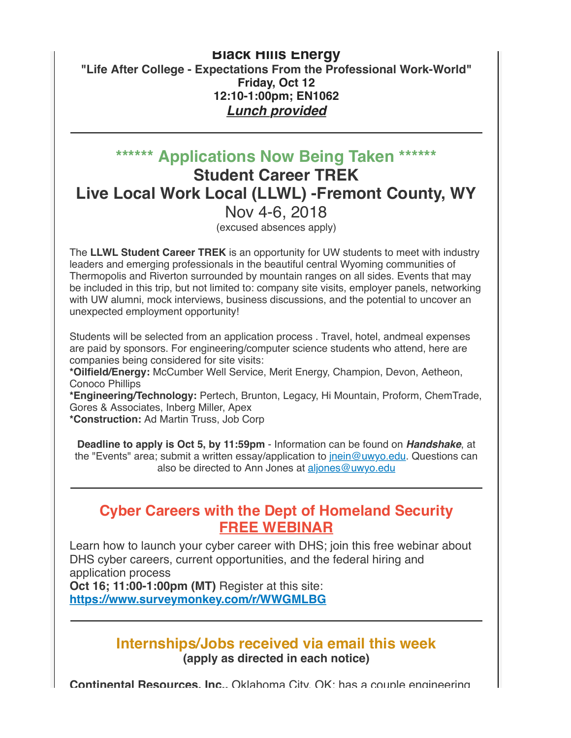#### **Black Hills Energy "Life After College - Expectations From the Professional Work-World" Friday, Oct 12 12:10-1:00pm; EN1062** *Lunch provided*

## **\*\*\*\*\*\* Applications Now Being Taken \*\*\*\*\*\* Student Career TREK Live Local Work Local (LLWL) -Fremont County, WY** Nov 4-6, 2018

(excused absences apply)

The **LLWL Student Career TREK** is an opportunity for UW students to meet with industry leaders and emerging professionals in the beautiful central Wyoming communities of Thermopolis and Riverton surrounded by mountain ranges on all sides. Events that may be included in this trip, but not limited to: company site visits, employer panels, networking with UW alumni, mock interviews, business discussions, and the potential to uncover an unexpected employment opportunity!

Students will be selected from an application process . Travel, hotel, andmeal expenses are paid by sponsors. For engineering/computer science students who attend, here are companies being considered for site visits:

**\*Oilfield/Energy:** McCumber Well Service, Merit Energy, Champion, Devon, Aetheon, Conoco Phillips

**\*Engineering/Technology:** Pertech, Brunton, Legacy, Hi Mountain, Proform, ChemTrade, Gores & Associates, Inberg Miller, Apex

**\*Construction:** Ad Martin Truss, Job Corp

**Deadline to apply is Oct 5, by 11:59pm** - Information can be found on *Handshake*, at the "Events" area; submit a written essay/application to *jnein@uwyo.edu*. Questions can also be directed to Ann Jones at [aljones@uwyo.edu](mailto:aljones@uwyo.edu)

### **Cyber Careers with the Dept of Homeland Security FREE WEBINAR**

Learn how to launch your cyber career with DHS; join this free webinar about DHS cyber careers, current opportunities, and the federal hiring and application process

**Oct 16; 11:00-1:00pm (MT)** Register at this site: **[https://www.surveymonkey.com/r/WWGMLBG](http://r20.rs6.net/tn.jsp?f=001A1kM5uYc-6FJZlmg7EgvyQ6k5P4QBxw8jTVIDuvmPzRgZojU2lEfYTSCLQSgpYbRAtMpRikxCbxuOPq1dhIcG5SkKCm_EIb0BvI6wyV-Ev7aY-5344jtQb1V2wTFNMUkBmfItz0BLvPV2e-jxBqj9ZReHgrYKFPPWwy80g_OUPM=&c=GOHaWUFOFHj9jxYRZAqiQ0fS9NmCyEu9_EIHWiFBN1vUWxLYhoyZCg==&ch=0JhMtVIo0PcHqBm8YSY4M_mOz35kLEVneHmkJOKmBd-Tsi2XKsAGsw==)**

#### **Internships/Jobs received via email this week (apply as directed in each notice)**

**Continental Resources, Inc.,** Oklahoma City, OK: has a couple engineering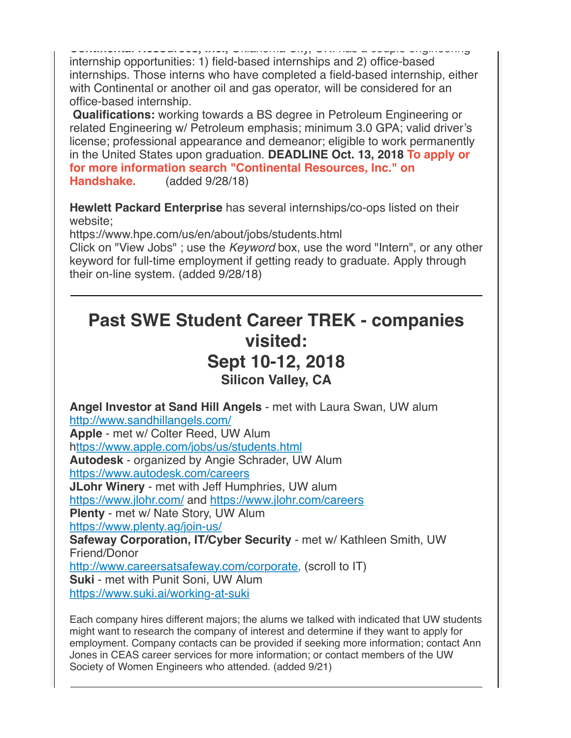**Continental Resources, Inc.,** Oklahoma City, OK: has a couple engineering internship opportunities: 1) field-based internships and 2) office-based internships. Those interns who have completed a field-based internship, either with Continental or another oil and gas operator, will be considered for an office-based internship.

**Qualifications:** working towards a BS degree in Petroleum Engineering or related Engineering w/ Petroleum emphasis; minimum 3.0 GPA; valid driver's license; professional appearance and demeanor; eligible to work permanently in the United States upon graduation. **DEADLINE Oct. 13, 2018 To apply or for more information search "Continental Resources, Inc." on Handshake.** (added 9/28/18)

**Hewlett Packard Enterprise** has several internships/co-ops listed on their website;

https://www.hpe.com/us/en/about/jobs/students.html

Click on "View Jobs" ; use the *Keyword* box, use the word "Intern", or any other keyword for full-time employment if getting ready to graduate. Apply through their on-line system. (added 9/28/18)

## **Past SWE Student Career TREK - companies visited: Sept 10-12, 2018 Silicon Valley, CA**

**Angel Investor at Sand Hill Angels** - met with Laura Swan, UW alum [http://www.sandhillangels.com/](http://r20.rs6.net/tn.jsp?f=001A1kM5uYc-6FJZlmg7EgvyQ6k5P4QBxw8jTVIDuvmPzRgZojU2lEfYTSCLQSgpYbRCnZufWwXRsO6cc9AjinlXKGnWa7WKyxQF2c5xrIlESLmb2vJqmxhH8dRMLouJSDaLDTKLMWTs98UOPziFNcaEA==&c=GOHaWUFOFHj9jxYRZAqiQ0fS9NmCyEu9_EIHWiFBN1vUWxLYhoyZCg==&ch=0JhMtVIo0PcHqBm8YSY4M_mOz35kLEVneHmkJOKmBd-Tsi2XKsAGsw==) **Apple** - met w/ Colter Reed, UW Alum h[ttps://www.apple.com/jobs/us/students.html](http://r20.rs6.net/tn.jsp?f=001A1kM5uYc-6FJZlmg7EgvyQ6k5P4QBxw8jTVIDuvmPzRgZojU2lEfYTSCLQSgpYbR5eovrT2TCkptHQku6qEbUIlw9qghjurL3dBcMZ57jkFjX-J4O5lwW_riLPDV5-SuXWSJIlvfr9Fp3E-FmCOFfKFBdr8kFmA19C7bqYNSNmwFE6uU4RB8YQ==&c=GOHaWUFOFHj9jxYRZAqiQ0fS9NmCyEu9_EIHWiFBN1vUWxLYhoyZCg==&ch=0JhMtVIo0PcHqBm8YSY4M_mOz35kLEVneHmkJOKmBd-Tsi2XKsAGsw==) **Autodesk** - organized by Angie Schrader, UW Alum [https://www.autodesk.com/careers](http://r20.rs6.net/tn.jsp?f=001A1kM5uYc-6FJZlmg7EgvyQ6k5P4QBxw8jTVIDuvmPzRgZojU2lEfYTSCLQSgpYbRy_rGK-wt9XE5nSqTYY5xHAb1iVgv47VUcMTdMqcq-dYpwErWleSQtVPESzD1xwMn_Ep52oy_QJ4vhksWKIwVsWI55oRfk3FP&c=GOHaWUFOFHj9jxYRZAqiQ0fS9NmCyEu9_EIHWiFBN1vUWxLYhoyZCg==&ch=0JhMtVIo0PcHqBm8YSY4M_mOz35kLEVneHmkJOKmBd-Tsi2XKsAGsw==) **JLohr Winery** - met with Jeff Humphries, UW alum [https://www.jlohr.com/](http://r20.rs6.net/tn.jsp?f=001A1kM5uYc-6FJZlmg7EgvyQ6k5P4QBxw8jTVIDuvmPzRgZojU2lEfYTSCLQSgpYbRRMIny7LoqkBuHmnn8ZMYyv6oarQ_5BT5tYXh16A_u0PYVZ5hytZXMJQ5d_JZOMgegXc1AdwLEv0=&c=GOHaWUFOFHj9jxYRZAqiQ0fS9NmCyEu9_EIHWiFBN1vUWxLYhoyZCg==&ch=0JhMtVIo0PcHqBm8YSY4M_mOz35kLEVneHmkJOKmBd-Tsi2XKsAGsw==) and [https://www.jlohr.com/careers](http://r20.rs6.net/tn.jsp?f=001A1kM5uYc-6FJZlmg7EgvyQ6k5P4QBxw8jTVIDuvmPzRgZojU2lEfYTSCLQSgpYbRXBvvJljwVfjB1MjhrkhKR2e1k4PyYZ_VlvIQCXRFzaNTnymsJO0syPiHt_Lu9WmSqfMAZhSwht_g1je3nWbI9g==&c=GOHaWUFOFHj9jxYRZAqiQ0fS9NmCyEu9_EIHWiFBN1vUWxLYhoyZCg==&ch=0JhMtVIo0PcHqBm8YSY4M_mOz35kLEVneHmkJOKmBd-Tsi2XKsAGsw==) **Plenty** - met w/ Nate Story, UW Alum [https://www.plenty.ag/join-us/](http://r20.rs6.net/tn.jsp?f=001A1kM5uYc-6FJZlmg7EgvyQ6k5P4QBxw8jTVIDuvmPzRgZojU2lEfYTSCLQSgpYbRQVRjfm7ds954rSXaQ7musoxekYtBqUQvaZoeJ3BT5AG6RHnvTvrg7C-x2wz-ILBSqQGbV5yrXD4-NdwtjCLomTC2yszEoiV4&c=GOHaWUFOFHj9jxYRZAqiQ0fS9NmCyEu9_EIHWiFBN1vUWxLYhoyZCg==&ch=0JhMtVIo0PcHqBm8YSY4M_mOz35kLEVneHmkJOKmBd-Tsi2XKsAGsw==) **Safeway Corporation, IT/Cyber Security** - met w/ Kathleen Smith, UW Friend/Donor [http://www.careersatsafeway.com/corporate,](http://r20.rs6.net/tn.jsp?f=001A1kM5uYc-6FJZlmg7EgvyQ6k5P4QBxw8jTVIDuvmPzRgZojU2lEfYTSCLQSgpYbRWksVuVmS2w9zp8LMu6xjvD8fC39-4FgalM3mUyXzGptmMs11TJDN10eiHxSdw-F8vJ5tPlGRmyA0zSQOVQZJbKqev98okGkEKxL04sBdLR4=&c=GOHaWUFOFHj9jxYRZAqiQ0fS9NmCyEu9_EIHWiFBN1vUWxLYhoyZCg==&ch=0JhMtVIo0PcHqBm8YSY4M_mOz35kLEVneHmkJOKmBd-Tsi2XKsAGsw==) (scroll to IT) **Suki** - met with Punit Soni, UW Alum [https://www.suki.ai/working-at-suki](http://r20.rs6.net/tn.jsp?f=001A1kM5uYc-6FJZlmg7EgvyQ6k5P4QBxw8jTVIDuvmPzRgZojU2lEfYTSCLQSgpYbRJKD99x2LnbAcgEMPAVe_N4-ZYtrKf9p5u7JuCCiK2VhrALdnLaLUo7H429eGtrKz6SQooe_B11CQxQoRo56Bn5lbsA_bHM3S&c=GOHaWUFOFHj9jxYRZAqiQ0fS9NmCyEu9_EIHWiFBN1vUWxLYhoyZCg==&ch=0JhMtVIo0PcHqBm8YSY4M_mOz35kLEVneHmkJOKmBd-Tsi2XKsAGsw==)

Each company hires different majors; the alums we talked with indicated that UW students might want to research the company of interest and determine if they want to apply for employment. Company contacts can be provided if seeking more information; contact Ann Jones in CEAS career services for more information; or contact members of the UW Society of Women Engineers who attended. (added 9/21)